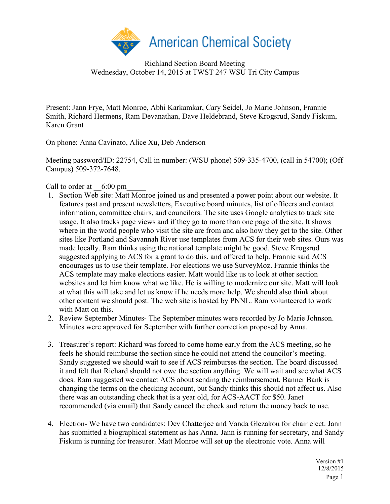

Richland Section Board Meeting Wednesday, October 14, 2015 at TWST 247 WSU Tri City Campus

Present: Jann Frye, Matt Monroe, Abhi Karkamkar, Cary Seidel, Jo Marie Johnson, Frannie Smith, Richard Hermens, Ram Devanathan, Dave Heldebrand, Steve Krogsrud, Sandy Fiskum, Karen Grant

On phone: Anna Cavinato, Alice Xu, Deb Anderson

Meeting password/ID: 22754, Call in number: (WSU phone) 509-335-4700, (call in 54700); (Off Campus) 509-372-7648.

Call to order at  $6:00 \text{ pm}$ 

- 1. Section Web site: Matt Monroe joined us and presented a power point about our website. It features past and present newsletters, Executive board minutes, list of officers and contact information, committee chairs, and councilors. The site uses Google analytics to track site usage. It also tracks page views and if they go to more than one page of the site. It shows where in the world people who visit the site are from and also how they get to the site. Other sites like Portland and Savannah River use templates from ACS for their web sites. Ours was made locally. Ram thinks using the national template might be good. Steve Krogsrud suggested applying to ACS for a grant to do this, and offered to help. Frannie said ACS encourages us to use their template. For elections we use SurveyMoz. Frannie thinks the ACS template may make elections easier. Matt would like us to look at other section websites and let him know what we like. He is willing to modernize our site. Matt will look at what this will take and let us know if he needs more help. We should also think about other content we should post. The web site is hosted by PNNL. Ram volunteered to work with Matt on this.
- 2. Review September Minutes- The September minutes were recorded by Jo Marie Johnson. Minutes were approved for September with further correction proposed by Anna.
- 3. Treasurer's report: Richard was forced to come home early from the ACS meeting, so he feels he should reimburse the section since he could not attend the councilor's meeting. Sandy suggested we should wait to see if ACS reimburses the section. The board discussed it and felt that Richard should not owe the section anything. We will wait and see what ACS does. Ram suggested we contact ACS about sending the reimbursement. Banner Bank is changing the terms on the checking account, but Sandy thinks this should not affect us. Also there was an outstanding check that is a year old, for ACS-AACT for \$50. Janet recommended (via email) that Sandy cancel the check and return the money back to use.
- 4. Election- We have two candidates: Dev Chatterjee and Vanda Glezakou for chair elect. Jann has submitted a biographical statement as has Anna. Jann is running for secretary, and Sandy Fiskum is running for treasurer. Matt Monroe will set up the electronic vote. Anna will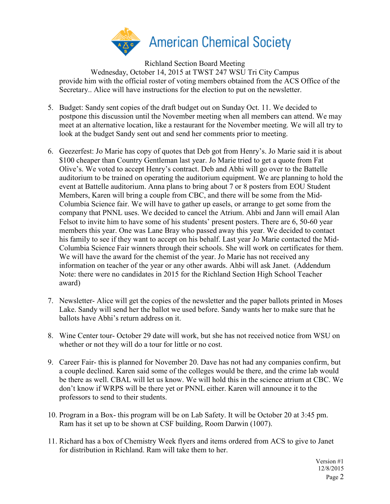

Richland Section Board Meeting Wednesday, October 14, 2015 at TWST 247 WSU Tri City Campus provide him with the official roster of voting members obtained from the ACS Office of the Secretary.. Alice will have instructions for the election to put on the newsletter.

- 5. Budget: Sandy sent copies of the draft budget out on Sunday Oct. 11. We decided to postpone this discussion until the November meeting when all members can attend. We may meet at an alternative location, like a restaurant for the November meeting. We will all try to look at the budget Sandy sent out and send her comments prior to meeting.
- 6. Geezerfest: Jo Marie has copy of quotes that Deb got from Henry's. Jo Marie said it is about \$100 cheaper than Country Gentleman last year. Jo Marie tried to get a quote from Fat Olive's. We voted to accept Henry's contract. Deb and Abhi will go over to the Battelle auditorium to be trained on operating the auditorium equipment. We are planning to hold the event at Battelle auditorium. Anna plans to bring about 7 or 8 posters from EOU Student Members, Karen will bring a couple from CBC, and there will be some from the Mid-Columbia Science fair. We will have to gather up easels, or arrange to get some from the company that PNNL uses. We decided to cancel the Atrium. Ahbi and Jann will email Alan Felsot to invite him to have some of his students' present posters. There are 6, 50-60 year members this year. One was Lane Bray who passed away this year. We decided to contact his family to see if they want to accept on his behalf. Last year Jo Marie contacted the Mid-Columbia Science Fair winners through their schools. She will work on certificates for them. We will have the award for the chemist of the year. Jo Marie has not received any information on teacher of the year or any other awards. Ahbi will ask Janet. (Addendum Note: there were no candidates in 2015 for the Richland Section High School Teacher award)
- 7. Newsletter- Alice will get the copies of the newsletter and the paper ballots printed in Moses Lake. Sandy will send her the ballot we used before. Sandy wants her to make sure that he ballots have Abhi's return address on it.
- 8. Wine Center tour- October 29 date will work, but she has not received notice from WSU on whether or not they will do a tour for little or no cost.
- 9. Career Fair- this is planned for November 20. Dave has not had any companies confirm, but a couple declined. Karen said some of the colleges would be there, and the crime lab would be there as well. CBAL will let us know. We will hold this in the science atrium at CBC. We don't know if WRPS will be there yet or PNNL either. Karen will announce it to the professors to send to their students.
- 10. Program in a Box- this program will be on Lab Safety. It will be October 20 at 3:45 pm. Ram has it set up to be shown at CSF building, Room Darwin (1007).
- 11. Richard has a box of Chemistry Week flyers and items ordered from ACS to give to Janet for distribution in Richland. Ram will take them to her.